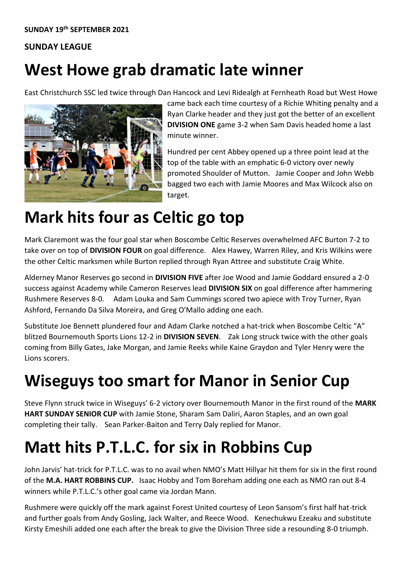#### **SUNDAY LEAGUE**

#### **West Howe grab dramatic late winner**

East Christchurch SSC led twice through Dan Hancock and Levi Ridealgh at Fernheath Road but West Howe



came back each time courtesy of a Richie Whiting penalty and a Ryan Clarke header and they just got the better of an excellent **DIVISION ONE** game 3-2 when Sam Davis headed home a last minute winner.

Hundred per cent Abbey opened up a three point lead at the top of the table with an emphatic 6-0 victory over newly promoted Shoulder of Mutton. Jamie Cooper and John Webb bagged two each with Jamie Moores and Max Wilcock also on target.

#### **Mark hits four as Celtic go top**

Mark Claremont was the four goal star when Boscombe Celtic Reserves overwhelmed AFC Burton 7-2 to take over on top of **DIVISION FOUR** on goal difference. Alex Hawey, Warren Riley, and Kris Wilkins were the other Celtic marksmen while Burton replied through Ryan Attree and substitute Craig White.

Alderney Manor Reserves go second in **DIVISION FIVE** after Joe Wood and Jamie Goddard ensured a 2-0 success against Academy while Cameron Reserves lead **DIVISION SIX** on goal difference after hammering Rushmere Reserves 8-0. Adam Louka and Sam Cummings scored two apiece with Troy Turner, Ryan Ashford, Fernando Da Silva Moreira, and Greg O'Mallo adding one each.

Substitute Joe Bennett plundered four and Adam Clarke notched a hat-trick when Boscombe Celtic "A" blitzed Bournemouth Sports Lions 12-2 in **DIVISION SEVEN**. Zak Long struck twice with the other goals coming from Billy Gates, Jake Morgan, and Jamie Reeks while Kaine Graydon and Tyler Henry were the Lions scorers.

## **Wiseguys too smart for Manor in Senior Cup**

Steve Flynn struck twice in Wiseguys' 6-2 victory over Bournemouth Manor in the first round of the **MARK HART SUNDAY SENIOR CUP** with Jamie Stone, Sharam Sam Daliri, Aaron Staples, and an own goal completing their tally. Sean Parker-Baiton and Terry Daly replied for Manor.

## **Matt hits P.T.L.C. for six in Robbins Cup**

John Jarvis' hat-trick for P.T.L.C. was to no avail when NMO's Matt Hillyar hit them for six in the first round of the **M.A. HART ROBBINS CUP.** Isaac Hobby and Tom Boreham adding one each as NMO ran out 8-4 winners while P.T.L.C.'s other goal came via Jordan Mann.

Rushmere were quickly off the mark against Forest United courtesy of Leon Sansom's first half hat-trick and further goals from Andy Gosling, Jack Walter, and Reece Wood. Kenechukwu Ezeaku and substitute Kirsty Emeshili added one each after the break to give the Division Three side a resounding 8-0 triumph.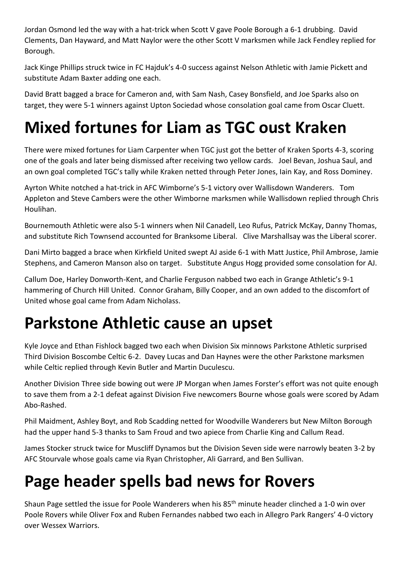Jordan Osmond led the way with a hat-trick when Scott V gave Poole Borough a 6-1 drubbing. David Clements, Dan Hayward, and Matt Naylor were the other Scott V marksmen while Jack Fendley replied for Borough.

Jack Kinge Phillips struck twice in FC Hajduk's 4-0 success against Nelson Athletic with Jamie Pickett and substitute Adam Baxter adding one each.

David Bratt bagged a brace for Cameron and, with Sam Nash, Casey Bonsfield, and Joe Sparks also on target, they were 5-1 winners against Upton Sociedad whose consolation goal came from Oscar Cluett.

# **Mixed fortunes for Liam as TGC oust Kraken**

There were mixed fortunes for Liam Carpenter when TGC just got the better of Kraken Sports 4-3, scoring one of the goals and later being dismissed after receiving two yellow cards. Joel Bevan, Joshua Saul, and an own goal completed TGC's tally while Kraken netted through Peter Jones, Iain Kay, and Ross Dominey.

Ayrton White notched a hat-trick in AFC Wimborne's 5-1 victory over Wallisdown Wanderers. Tom Appleton and Steve Cambers were the other Wimborne marksmen while Wallisdown replied through Chris Houlihan.

Bournemouth Athletic were also 5-1 winners when Nil Canadell, Leo Rufus, Patrick McKay, Danny Thomas, and substitute Rich Townsend accounted for Branksome Liberal. Clive Marshallsay was the Liberal scorer.

Dani Mirto bagged a brace when Kirkfield United swept AJ aside 6-1 with Matt Justice, Phil Ambrose, Jamie Stephens, and Cameron Manson also on target. Substitute Angus Hogg provided some consolation for AJ.

Callum Doe, Harley Donworth-Kent, and Charlie Ferguson nabbed two each in Grange Athletic's 9-1 hammering of Church Hill United. Connor Graham, Billy Cooper, and an own added to the discomfort of United whose goal came from Adam Nicholass.

## **Parkstone Athletic cause an upset**

Kyle Joyce and Ethan Fishlock bagged two each when Division Six minnows Parkstone Athletic surprised Third Division Boscombe Celtic 6-2. Davey Lucas and Dan Haynes were the other Parkstone marksmen while Celtic replied through Kevin Butler and Martin Duculescu.

Another Division Three side bowing out were JP Morgan when James Forster's effort was not quite enough to save them from a 2-1 defeat against Division Five newcomers Bourne whose goals were scored by Adam Abo-Rashed.

Phil Maidment, Ashley Boyt, and Rob Scadding netted for Woodville Wanderers but New Milton Borough had the upper hand 5-3 thanks to Sam Froud and two apiece from Charlie King and Callum Read.

James Stocker struck twice for Muscliff Dynamos but the Division Seven side were narrowly beaten 3-2 by AFC Stourvale whose goals came via Ryan Christopher, Ali Garrard, and Ben Sullivan.

#### **Page header spells bad news for Rovers**

Shaun Page settled the issue for Poole Wanderers when his 85<sup>th</sup> minute header clinched a 1-0 win over Poole Rovers while Oliver Fox and Ruben Fernandes nabbed two each in Allegro Park Rangers' 4-0 victory over Wessex Warriors.